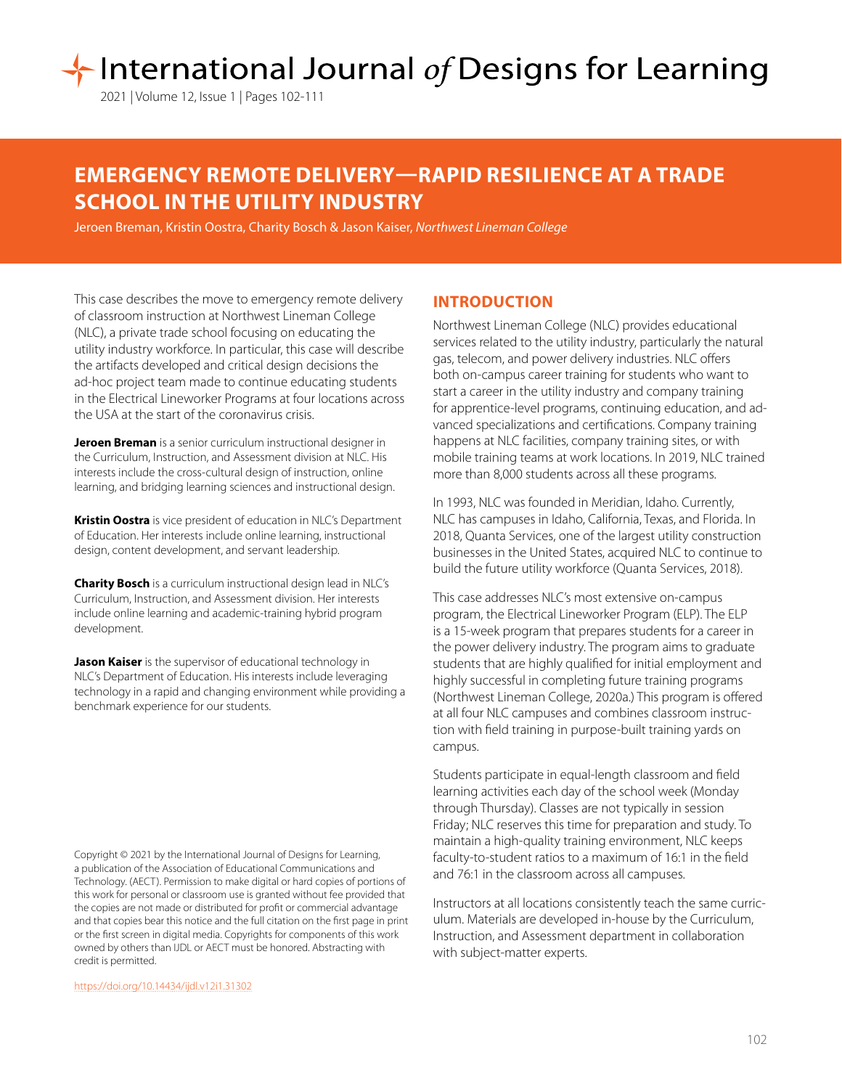# International Journal of Designs for Learning

2021 | Volume 12, Issue 1 | Pages 102-111

## **EMERGENCY REMOTE DELIVERY—RAPID RESILIENCE AT A TRADE SCHOOL IN THE UTILITY INDUSTRY**

Jeroen Breman, Kristin Oostra, Charity Bosch & Jason Kaiser, *Northwest Lineman College*

This case describes the move to emergency remote delivery of classroom instruction at Northwest Lineman College (NLC), a private trade school focusing on educating the utility industry workforce. In particular, this case will describe the artifacts developed and critical design decisions the ad-hoc project team made to continue educating students in the Electrical Lineworker Programs at four locations across the USA at the start of the coronavirus crisis.

**Jeroen Breman** is a senior curriculum instructional designer in the Curriculum, Instruction, and Assessment division at NLC. His interests include the cross-cultural design of instruction, online learning, and bridging learning sciences and instructional design.

**Kristin Oostra** is vice president of education in NLC's Department of Education. Her interests include online learning, instructional design, content development, and servant leadership.

**Charity Bosch** is a curriculum instructional design lead in NLC's Curriculum, Instruction, and Assessment division. Her interests include online learning and academic-training hybrid program development.

**Jason Kaiser** is the supervisor of educational technology in NLC's Department of Education. His interests include leveraging technology in a rapid and changing environment while providing a benchmark experience for our students.

Copyright © 2021 by the International Journal of Designs for Learning, a publication of the Association of Educational Communications and Technology. (AECT). Permission to make digital or hard copies of portions of this work for personal or classroom use is granted without fee provided that the copies are not made or distributed for profit or commercial advantage and that copies bear this notice and the full citation on the first page in print or the first screen in digital media. Copyrights for components of this work owned by others than IJDL or AECT must be honored. Abstracting with credit is permitted.

[https://doi.org/](https://doi.org/10.14434/ijdl.v12i1.31302)10.14434/ijdl.v12i1.31302

## **INTRODUCTION**

Northwest Lineman College (NLC) provides educational services related to the utility industry, particularly the natural gas, telecom, and power delivery industries. NLC offers both on-campus career training for students who want to start a career in the utility industry and company training for apprentice-level programs, continuing education, and advanced specializations and certifications. Company training happens at NLC facilities, company training sites, or with mobile training teams at work locations. In 2019, NLC trained more than 8,000 students across all these programs.

In 1993, NLC was founded in Meridian, Idaho. Currently, NLC has campuses in Idaho, California, Texas, and Florida. In 2018, Quanta Services, one of the largest utility construction businesses in the United States, acquired NLC to continue to build the future utility workforce (Quanta Services, 2018).

This case addresses NLC's most extensive on-campus program, the Electrical Lineworker Program (ELP). The ELP is a 15-week program that prepares students for a career in the power delivery industry. The program aims to graduate students that are highly qualified for initial employment and highly successful in completing future training programs (Northwest Lineman College, 2020a.) This program is offered at all four NLC campuses and combines classroom instruction with field training in purpose-built training yards on campus.

Students participate in equal-length classroom and field learning activities each day of the school week (Monday through Thursday). Classes are not typically in session Friday; NLC reserves this time for preparation and study. To maintain a high-quality training environment, NLC keeps faculty-to-student ratios to a maximum of 16:1 in the field and 76:1 in the classroom across all campuses.

Instructors at all locations consistently teach the same curriculum. Materials are developed in-house by the Curriculum, Instruction, and Assessment department in collaboration with subject-matter experts.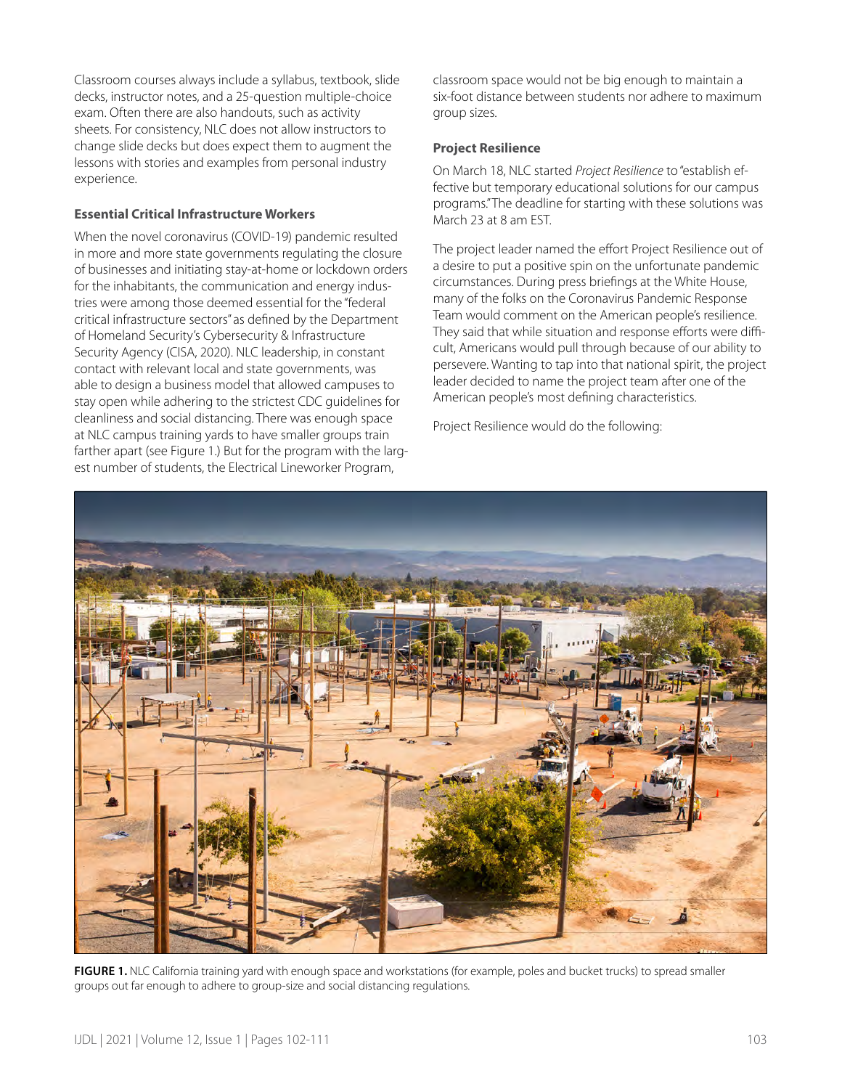Classroom courses always include a syllabus, textbook, slide decks, instructor notes, and a 25-question multiple-choice exam. Often there are also handouts, such as activity sheets. For consistency, NLC does not allow instructors to change slide decks but does expect them to augment the lessons with stories and examples from personal industry experience.

#### **Essential Critical Infrastructure Workers**

When the novel coronavirus (COVID-19) pandemic resulted in more and more state governments regulating the closure of businesses and initiating stay-at-home or lockdown orders for the inhabitants, the communication and energy industries were among those deemed essential for the "federal critical infrastructure sectors" as defined by the Department of Homeland Security's Cybersecurity & Infrastructure Security Agency (CISA, 2020). NLC leadership, in constant contact with relevant local and state governments, was able to design a business model that allowed campuses to stay open while adhering to the strictest CDC guidelines for cleanliness and social distancing. There was enough space at NLC campus training yards to have smaller groups train farther apart (see Figure 1.) But for the program with the largest number of students, the Electrical Lineworker Program,

classroom space would not be big enough to maintain a six-foot distance between students nor adhere to maximum group sizes.

#### **Project Resilience**

On March 18, NLC started *Project Resilience* to "establish effective but temporary educational solutions for our campus programs." The deadline for starting with these solutions was March 23 at 8 am EST.

The project leader named the effort Project Resilience out of a desire to put a positive spin on the unfortunate pandemic circumstances. During press briefings at the White House, many of the folks on the Coronavirus Pandemic Response Team would comment on the American people's resilience. They said that while situation and response efforts were difficult, Americans would pull through because of our ability to persevere. Wanting to tap into that national spirit, the project leader decided to name the project team after one of the American people's most defining characteristics.

Project Resilience would do the following:



FIGURE 1. NLC California training yard with enough space and workstations (for example, poles and bucket trucks) to spread smaller groups out far enough to adhere to group-size and social distancing regulations.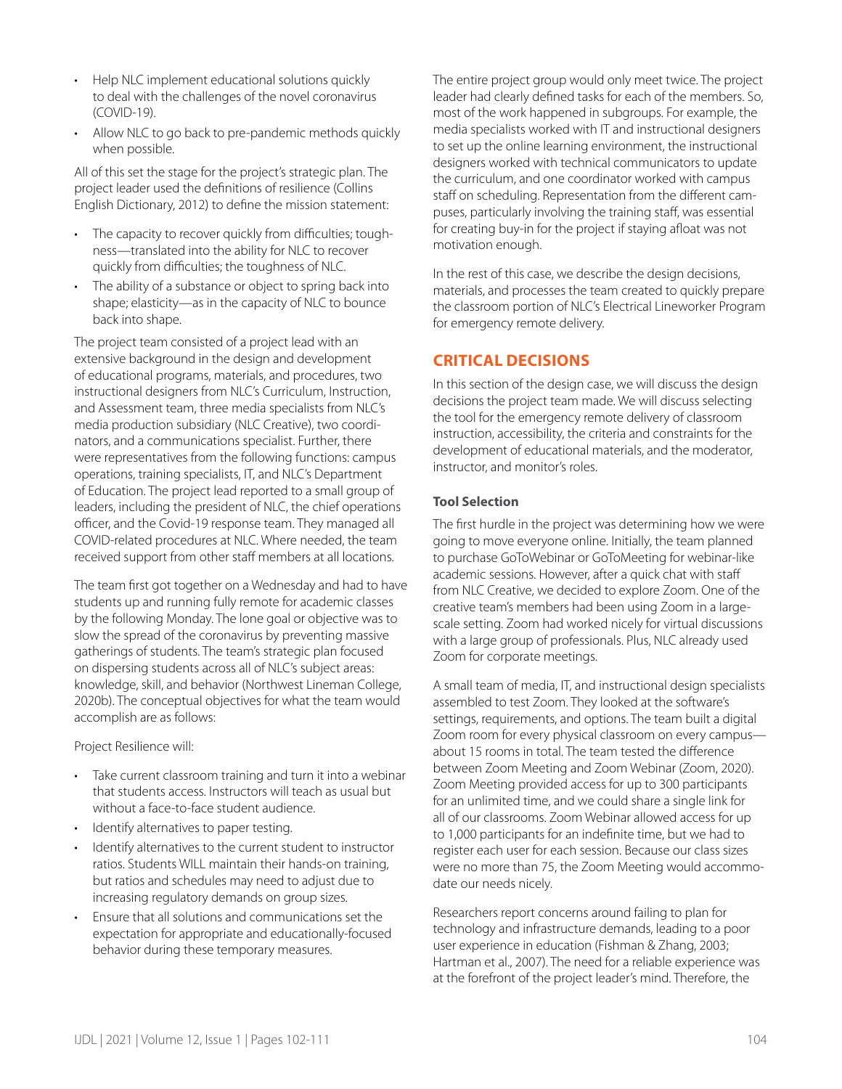- Help NLC implement educational solutions quickly to deal with the challenges of the novel coronavirus (COVID-19).
- Allow NLC to go back to pre-pandemic methods quickly when possible.

All of this set the stage for the project's strategic plan. The project leader used the definitions of resilience (Collins English Dictionary, 2012) to define the mission statement:

- The capacity to recover quickly from difficulties; toughness—translated into the ability for NLC to recover quickly from difficulties; the toughness of NLC.
- The ability of a substance or object to spring back into shape; elasticity—as in the capacity of NLC to bounce back into shape.

The project team consisted of a project lead with an extensive background in the design and development of educational programs, materials, and procedures, two instructional designers from NLC's Curriculum, Instruction, and Assessment team, three media specialists from NLC's media production subsidiary (NLC Creative), two coordinators, and a communications specialist. Further, there were representatives from the following functions: campus operations, training specialists, IT, and NLC's Department of Education. The project lead reported to a small group of leaders, including the president of NLC, the chief operations officer, and the Covid-19 response team. They managed all COVID-related procedures at NLC. Where needed, the team received support from other staff members at all locations.

The team first got together on a Wednesday and had to have students up and running fully remote for academic classes by the following Monday. The lone goal or objective was to slow the spread of the coronavirus by preventing massive gatherings of students. The team's strategic plan focused on dispersing students across all of NLC's subject areas: knowledge, skill, and behavior (Northwest Lineman College, 2020b). The conceptual objectives for what the team would accomplish are as follows:

Project Resilience will:

- Take current classroom training and turn it into a webinar that students access. Instructors will teach as usual but without a face-to-face student audience.
- Identify alternatives to paper testing.
- Identify alternatives to the current student to instructor ratios. Students WILL maintain their hands-on training, but ratios and schedules may need to adjust due to increasing regulatory demands on group sizes.
- Ensure that all solutions and communications set the expectation for appropriate and educationally-focused behavior during these temporary measures.

The entire project group would only meet twice. The project leader had clearly defined tasks for each of the members. So, most of the work happened in subgroups. For example, the media specialists worked with IT and instructional designers to set up the online learning environment, the instructional designers worked with technical communicators to update the curriculum, and one coordinator worked with campus staff on scheduling. Representation from the different campuses, particularly involving the training staff, was essential for creating buy-in for the project if staying afloat was not motivation enough.

In the rest of this case, we describe the design decisions, materials, and processes the team created to quickly prepare the classroom portion of NLC's Electrical Lineworker Program for emergency remote delivery.

## **CRITICAL DECISIONS**

In this section of the design case, we will discuss the design decisions the project team made. We will discuss selecting the tool for the emergency remote delivery of classroom instruction, accessibility, the criteria and constraints for the development of educational materials, and the moderator, instructor, and monitor's roles.

## **Tool Selection**

The first hurdle in the project was determining how we were going to move everyone online. Initially, the team planned to purchase GoToWebinar or GoToMeeting for webinar-like academic sessions. However, after a quick chat with staff from NLC Creative, we decided to explore Zoom. One of the creative team's members had been using Zoom in a largescale setting. Zoom had worked nicely for virtual discussions with a large group of professionals. Plus, NLC already used Zoom for corporate meetings.

A small team of media, IT, and instructional design specialists assembled to test Zoom. They looked at the software's settings, requirements, and options. The team built a digital Zoom room for every physical classroom on every campus about 15 rooms in total. The team tested the difference between Zoom Meeting and Zoom Webinar (Zoom, 2020). Zoom Meeting provided access for up to 300 participants for an unlimited time, and we could share a single link for all of our classrooms. Zoom Webinar allowed access for up to 1,000 participants for an indefinite time, but we had to register each user for each session. Because our class sizes were no more than 75, the Zoom Meeting would accommodate our needs nicely.

Researchers report concerns around failing to plan for technology and infrastructure demands, leading to a poor user experience in education (Fishman & Zhang, 2003; Hartman et al., 2007). The need for a reliable experience was at the forefront of the project leader's mind. Therefore, the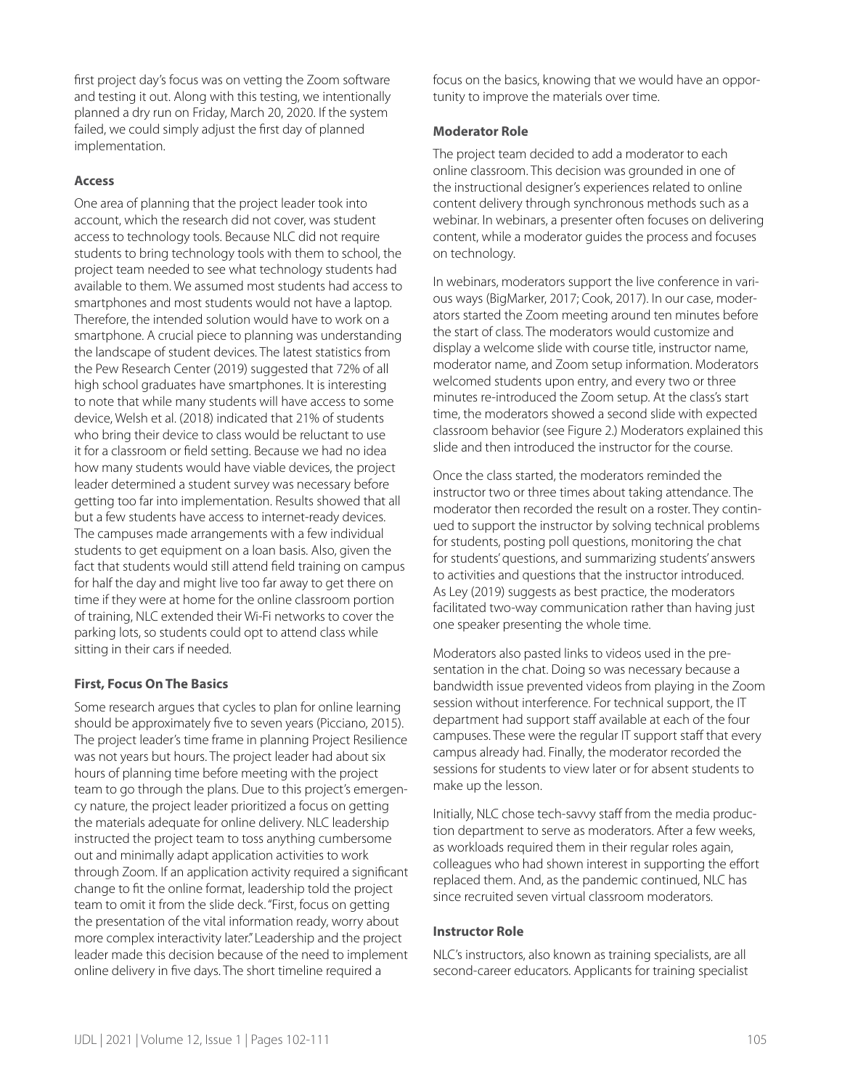first project day's focus was on vetting the Zoom software and testing it out. Along with this testing, we intentionally planned a dry run on Friday, March 20, 2020. If the system failed, we could simply adjust the first day of planned implementation.

## **Access**

One area of planning that the project leader took into account, which the research did not cover, was student access to technology tools. Because NLC did not require students to bring technology tools with them to school, the project team needed to see what technology students had available to them. We assumed most students had access to smartphones and most students would not have a laptop. Therefore, the intended solution would have to work on a smartphone. A crucial piece to planning was understanding the landscape of student devices. The latest statistics from the Pew Research Center (2019) suggested that 72% of all high school graduates have smartphones. It is interesting to note that while many students will have access to some device, Welsh et al. (2018) indicated that 21% of students who bring their device to class would be reluctant to use it for a classroom or field setting. Because we had no idea how many students would have viable devices, the project leader determined a student survey was necessary before getting too far into implementation. Results showed that all but a few students have access to internet-ready devices. The campuses made arrangements with a few individual students to get equipment on a loan basis. Also, given the fact that students would still attend field training on campus for half the day and might live too far away to get there on time if they were at home for the online classroom portion of training, NLC extended their Wi-Fi networks to cover the parking lots, so students could opt to attend class while sitting in their cars if needed.

## **First, Focus On The Basics**

Some research argues that cycles to plan for online learning should be approximately five to seven years (Picciano, 2015). The project leader's time frame in planning Project Resilience was not years but hours. The project leader had about six hours of planning time before meeting with the project team to go through the plans. Due to this project's emergency nature, the project leader prioritized a focus on getting the materials adequate for online delivery. NLC leadership instructed the project team to toss anything cumbersome out and minimally adapt application activities to work through Zoom. If an application activity required a significant change to fit the online format, leadership told the project team to omit it from the slide deck. "First, focus on getting the presentation of the vital information ready, worry about more complex interactivity later." Leadership and the project leader made this decision because of the need to implement online delivery in five days. The short timeline required a

focus on the basics, knowing that we would have an opportunity to improve the materials over time.

#### **Moderator Role**

The project team decided to add a moderator to each online classroom. This decision was grounded in one of the instructional designer's experiences related to online content delivery through synchronous methods such as a webinar. In webinars, a presenter often focuses on delivering content, while a moderator guides the process and focuses on technology.

In webinars, moderators support the live conference in various ways (BigMarker, 2017; Cook, 2017). In our case, moderators started the Zoom meeting around ten minutes before the start of class. The moderators would customize and display a welcome slide with course title, instructor name, moderator name, and Zoom setup information. Moderators welcomed students upon entry, and every two or three minutes re-introduced the Zoom setup. At the class's start time, the moderators showed a second slide with expected classroom behavior (see Figure 2.) Moderators explained this slide and then introduced the instructor for the course.

Once the class started, the moderators reminded the instructor two or three times about taking attendance. The moderator then recorded the result on a roster. They continued to support the instructor by solving technical problems for students, posting poll questions, monitoring the chat for students' questions, and summarizing students' answers to activities and questions that the instructor introduced. As Ley (2019) suggests as best practice, the moderators facilitated two-way communication rather than having just one speaker presenting the whole time.

Moderators also pasted links to videos used in the presentation in the chat. Doing so was necessary because a bandwidth issue prevented videos from playing in the Zoom session without interference. For technical support, the IT department had support staff available at each of the four campuses. These were the regular IT support staff that every campus already had. Finally, the moderator recorded the sessions for students to view later or for absent students to make up the lesson.

Initially, NLC chose tech-savvy staff from the media production department to serve as moderators. After a few weeks, as workloads required them in their regular roles again, colleagues who had shown interest in supporting the effort replaced them. And, as the pandemic continued, NLC has since recruited seven virtual classroom moderators.

#### **Instructor Role**

NLC's instructors, also known as training specialists, are all second-career educators. Applicants for training specialist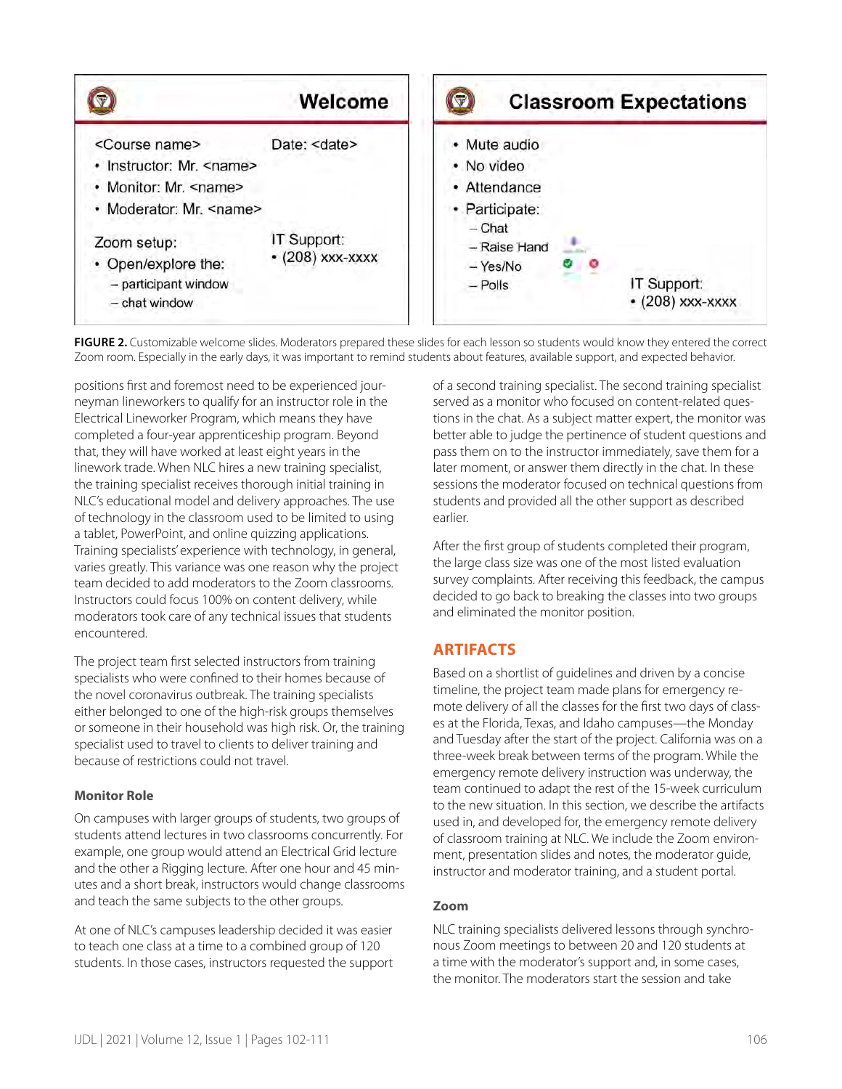

FIGURE 2. Customizable welcome slides. Moderators prepared these slides for each lesson so students would know they entered the correct Zoom room. Especially in the early days, it was important to remind students about features, available support, and expected behavior.

positions first and foremost need to be experienced journeyman lineworkers to qualify for an instructor role in the Electrical Lineworker Program, which means they have completed a four-year apprenticeship program. Beyond that, they will have worked at least eight years in the linework trade. When NLC hires a new training specialist, the training specialist receives thorough initial training in NLC's educational model and delivery approaches. The use of technology in the classroom used to be limited to using a tablet, PowerPoint, and online quizzing applications. Training specialists' experience with technology, in general, varies greatly. This variance was one reason why the project team decided to add moderators to the Zoom classrooms. Instructors could focus 100% on content delivery, while moderators took care of any technical issues that students encountered.

The project team first selected instructors from training specialists who were confined to their homes because of the novel coronavirus outbreak. The training specialists either belonged to one of the high-risk groups themselves or someone in their household was high risk. Or, the training specialist used to travel to clients to deliver training and because of restrictions could not travel.

## **Monitor Role**

On campuses with larger groups of students, two groups of students attend lectures in two classrooms concurrently. For example, one group would attend an Electrical Grid lecture and the other a Rigging lecture. After one hour and 45 minutes and a short break, instructors would change classrooms and teach the same subjects to the other groups.

At one of NLC's campuses leadership decided it was easier to teach one class at a time to a combined group of 120 students. In those cases, instructors requested the support of a second training specialist. The second training specialist served as a monitor who focused on content-related questions in the chat. As a subject matter expert, the monitor was better able to judge the pertinence of student questions and pass them on to the instructor immediately, save them for a later moment, or answer them directly in the chat. In these sessions the moderator focused on technical questions from students and provided all the other support as described earlier.

After the first group of students completed their program, the large class size was one of the most listed evaluation survey complaints. After receiving this feedback, the campus decided to go back to breaking the classes into two groups and eliminated the monitor position.

## **ARTIFACTS**

Based on a shortlist of guidelines and driven by a concise timeline, the project team made plans for emergency remote delivery of all the classes for the first two days of classes at the Florida, Texas, and Idaho campuses—the Monday and Tuesday after the start of the project. California was on a three-week break between terms of the program. While the emergency remote delivery instruction was underway, the team continued to adapt the rest of the 15-week curriculum to the new situation. In this section, we describe the artifacts used in, and developed for, the emergency remote delivery of classroom training at NLC. We include the Zoom environment, presentation slides and notes, the moderator guide, instructor and moderator training, and a student portal.

## **Zoom**

NLC training specialists delivered lessons through synchronous Zoom meetings to between 20 and 120 students at a time with the moderator's support and, in some cases, the monitor. The moderators start the session and take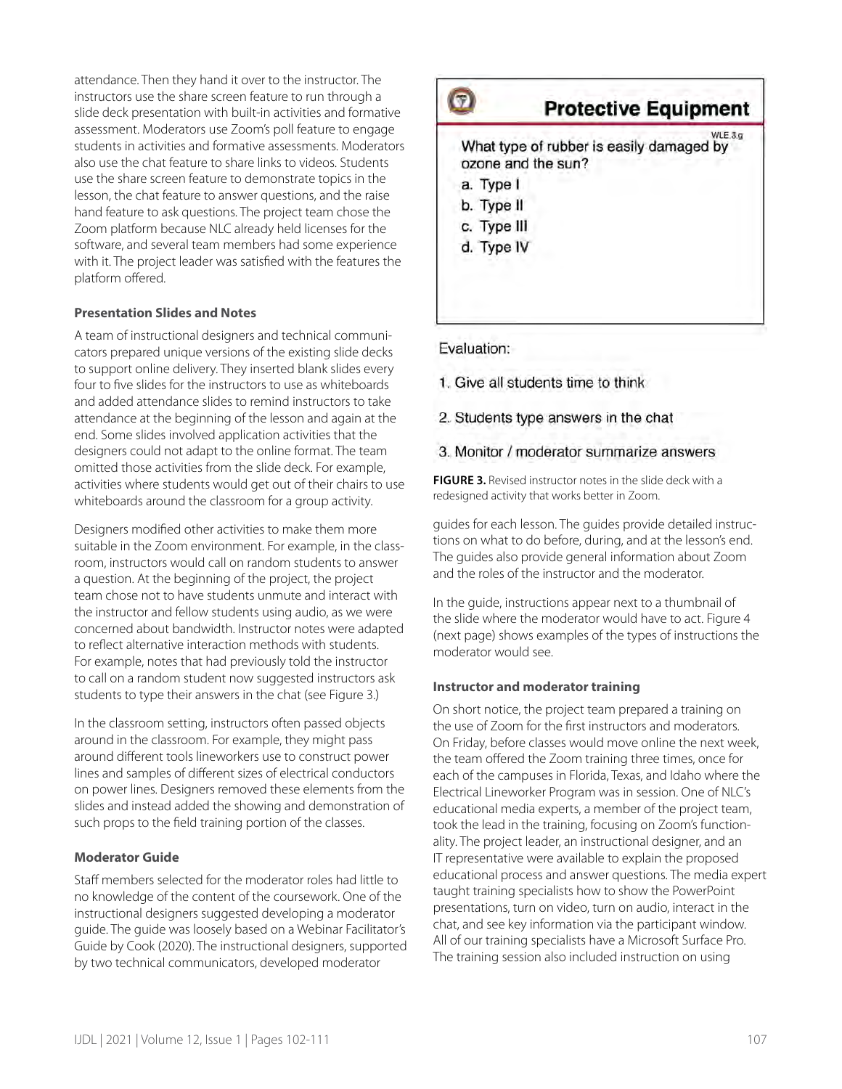attendance. Then they hand it over to the instructor. The instructors use the share screen feature to run through a slide deck presentation with built-in activities and formative assessment. Moderators use Zoom's poll feature to engage students in activities and formative assessments. Moderators also use the chat feature to share links to videos. Students use the share screen feature to demonstrate topics in the lesson, the chat feature to answer questions, and the raise hand feature to ask questions. The project team chose the Zoom platform because NLC already held licenses for the software, and several team members had some experience with it. The project leader was satisfied with the features the platform offered.

#### **Presentation Slides and Notes**

A team of instructional designers and technical communicators prepared unique versions of the existing slide decks to support online delivery. They inserted blank slides every four to five slides for the instructors to use as whiteboards and added attendance slides to remind instructors to take attendance at the beginning of the lesson and again at the end. Some slides involved application activities that the designers could not adapt to the online format. The team omitted those activities from the slide deck. For example, activities where students would get out of their chairs to use whiteboards around the classroom for a group activity.

Designers modified other activities to make them more suitable in the Zoom environment. For example, in the classroom, instructors would call on random students to answer a question. At the beginning of the project, the project team chose not to have students unmute and interact with the instructor and fellow students using audio, as we were concerned about bandwidth. Instructor notes were adapted to reflect alternative interaction methods with students. For example, notes that had previously told the instructor to call on a random student now suggested instructors ask students to type their answers in the chat (see Figure 3.)

In the classroom setting, instructors often passed objects around in the classroom. For example, they might pass around different tools lineworkers use to construct power lines and samples of different sizes of electrical conductors on power lines. Designers removed these elements from the slides and instead added the showing and demonstration of such props to the field training portion of the classes.

## **Moderator Guide**

Staff members selected for the moderator roles had little to no knowledge of the content of the coursework. One of the instructional designers suggested developing a moderator guide. The guide was loosely based on a Webinar Facilitator's Guide by Cook (2020). The instructional designers, supported by two technical communicators, developed moderator



## Evaluation:

1. Give all students time to think

2. Students type answers in the chat

## 3. Monitor / moderator summarize answers

**FIGURE 3.** Revised instructor notes in the slide deck with a redesigned activity that works better in Zoom.

guides for each lesson. The guides provide detailed instructions on what to do before, during, and at the lesson's end. The guides also provide general information about Zoom and the roles of the instructor and the moderator.

In the guide, instructions appear next to a thumbnail of the slide where the moderator would have to act. Figure 4 (next page) shows examples of the types of instructions the moderator would see.

## **Instructor and moderator training**

On short notice, the project team prepared a training on the use of Zoom for the first instructors and moderators. On Friday, before classes would move online the next week, the team offered the Zoom training three times, once for each of the campuses in Florida, Texas, and Idaho where the Electrical Lineworker Program was in session. One of NLC's educational media experts, a member of the project team, took the lead in the training, focusing on Zoom's functionality. The project leader, an instructional designer, and an IT representative were available to explain the proposed educational process and answer questions. The media expert taught training specialists how to show the PowerPoint presentations, turn on video, turn on audio, interact in the chat, and see key information via the participant window. All of our training specialists have a Microsoft Surface Pro. The training session also included instruction on using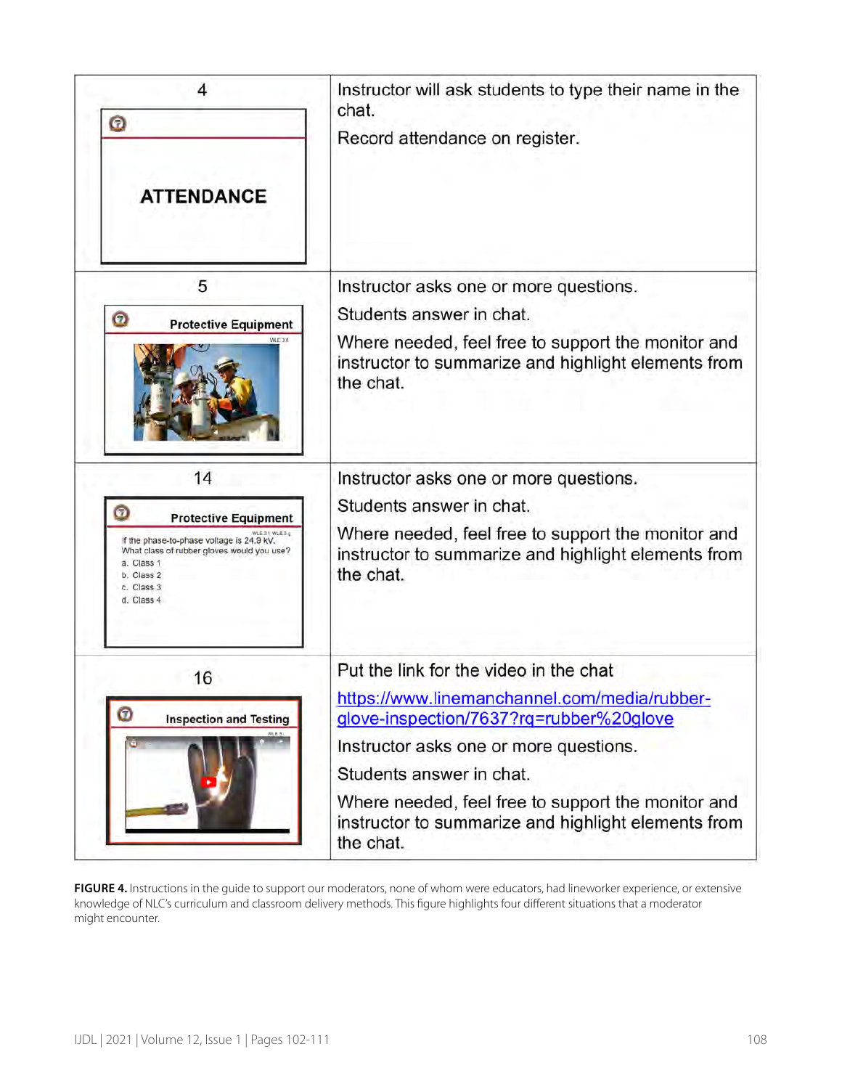| 4<br>Θ<br><b>ATTENDANCE</b>                                                                                                                                                                         | Instructor will ask students to type their name in the<br>chat.<br>Record attendance on register.                                                                                                                                                                                                                                 |  |  |  |
|-----------------------------------------------------------------------------------------------------------------------------------------------------------------------------------------------------|-----------------------------------------------------------------------------------------------------------------------------------------------------------------------------------------------------------------------------------------------------------------------------------------------------------------------------------|--|--|--|
| 5<br>Ω<br><b>Protective Equipment</b><br>$N = 31$                                                                                                                                                   | Instructor asks one or more questions.<br>Students answer in chat.<br>Where needed, feel free to support the monitor and<br>instructor to summarize and highlight elements from<br>the chat.                                                                                                                                      |  |  |  |
| 14<br><b>Protective Equipment</b><br>WLESH WLESA<br>If the phase-to-phase voltage is 24.9 kV.<br>What class of rubber gloves would you use?<br>a. Class 1<br>b. Class 2<br>c. Class 3<br>d. Class 4 | Instructor asks one or more questions.<br>Students answer in chat.<br>Where needed, feel free to support the monitor and<br>instructor to summarize and highlight elements from<br>the chat.                                                                                                                                      |  |  |  |
| 16<br>$\boldsymbol{\mathcal{D}}$<br><b>Inspection and Testing</b>                                                                                                                                   | Put the link for the video in the chat<br>https://www.linemanchannel.com/media/rubber-<br>glove-inspection/7637?rq=rubber%20glove<br>Instructor asks one or more questions.<br>Students answer in chat.<br>Where needed, feel free to support the monitor and<br>instructor to summarize and highlight elements from<br>the chat. |  |  |  |

**FIGURE 4.** Instructions in the guide to support our moderators, none of whom were educators, had lineworker experience, or extensive knowledge of NLC's curriculum and classroom delivery methods. This figure highlights four different situations that a moderator might encounter.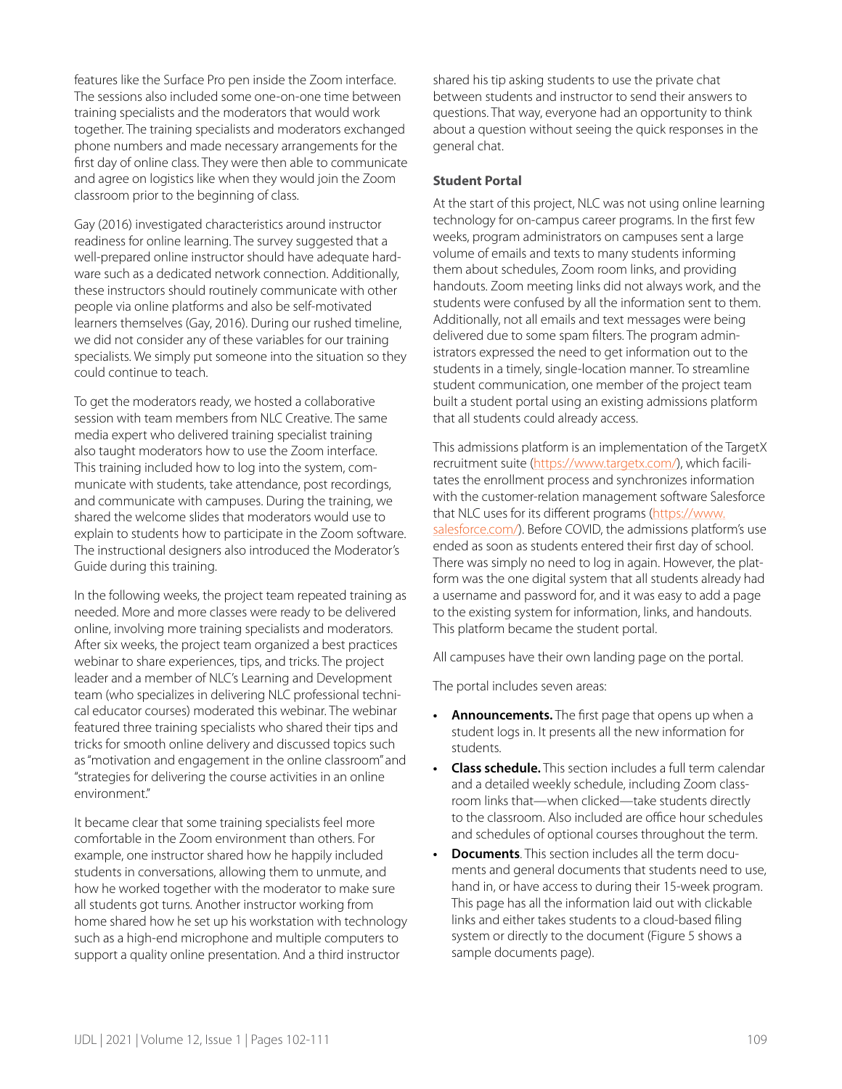features like the Surface Pro pen inside the Zoom interface. The sessions also included some one-on-one time between training specialists and the moderators that would work together. The training specialists and moderators exchanged phone numbers and made necessary arrangements for the first day of online class. They were then able to communicate and agree on logistics like when they would join the Zoom classroom prior to the beginning of class.

Gay (2016) investigated characteristics around instructor readiness for online learning. The survey suggested that a well-prepared online instructor should have adequate hardware such as a dedicated network connection. Additionally, these instructors should routinely communicate with other people via online platforms and also be self-motivated learners themselves (Gay, 2016). During our rushed timeline, we did not consider any of these variables for our training specialists. We simply put someone into the situation so they could continue to teach.

To get the moderators ready, we hosted a collaborative session with team members from NLC Creative. The same media expert who delivered training specialist training also taught moderators how to use the Zoom interface. This training included how to log into the system, communicate with students, take attendance, post recordings, and communicate with campuses. During the training, we shared the welcome slides that moderators would use to explain to students how to participate in the Zoom software. The instructional designers also introduced the Moderator's Guide during this training.

In the following weeks, the project team repeated training as needed. More and more classes were ready to be delivered online, involving more training specialists and moderators. After six weeks, the project team organized a best practices webinar to share experiences, tips, and tricks. The project leader and a member of NLC's Learning and Development team (who specializes in delivering NLC professional technical educator courses) moderated this webinar. The webinar featured three training specialists who shared their tips and tricks for smooth online delivery and discussed topics such as "motivation and engagement in the online classroom" and "strategies for delivering the course activities in an online environment."

It became clear that some training specialists feel more comfortable in the Zoom environment than others. For example, one instructor shared how he happily included students in conversations, allowing them to unmute, and how he worked together with the moderator to make sure all students got turns. Another instructor working from home shared how he set up his workstation with technology such as a high-end microphone and multiple computers to support a quality online presentation. And a third instructor

shared his tip asking students to use the private chat between students and instructor to send their answers to questions. That way, everyone had an opportunity to think about a question without seeing the quick responses in the general chat.

## **Student Portal**

At the start of this project, NLC was not using online learning technology for on-campus career programs. In the first few weeks, program administrators on campuses sent a large volume of emails and texts to many students informing them about schedules, Zoom room links, and providing handouts. Zoom meeting links did not always work, and the students were confused by all the information sent to them. Additionally, not all emails and text messages were being delivered due to some spam filters. The program administrators expressed the need to get information out to the students in a timely, single-location manner. To streamline student communication, one member of the project team built a student portal using an existing admissions platform that all students could already access.

This admissions platform is an implementation of the TargetX recruitment suite [\(https://www.targetx.com/](https://www.targetx.com/)), which facilitates the enrollment process and synchronizes information with the customer-relation management software Salesforce that NLC uses for its different programs ([https://www.](https://www.salesforce.com/) [salesforce.com/](https://www.salesforce.com/)). Before COVID, the admissions platform's use ended as soon as students entered their first day of school. There was simply no need to log in again. However, the platform was the one digital system that all students already had a username and password for, and it was easy to add a page to the existing system for information, links, and handouts. This platform became the student portal.

All campuses have their own landing page on the portal.

The portal includes seven areas:

- **• Announcements.** The first page that opens up when a student logs in. It presents all the new information for students.
- **• Class schedule.** This section includes a full term calendar and a detailed weekly schedule, including Zoom classroom links that—when clicked—take students directly to the classroom. Also included are office hour schedules and schedules of optional courses throughout the term.
- **• Documents**. This section includes all the term documents and general documents that students need to use, hand in, or have access to during their 15-week program. This page has all the information laid out with clickable links and either takes students to a cloud-based filing system or directly to the document (Figure 5 shows a sample documents page).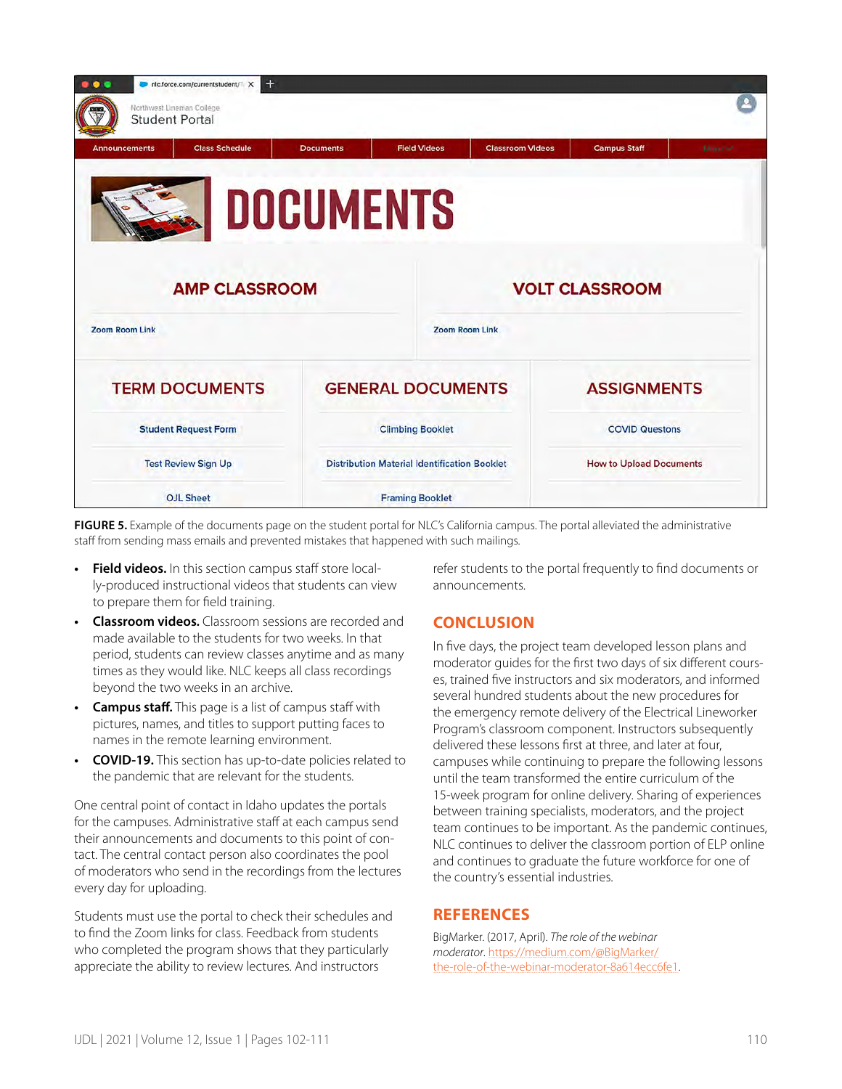| $+$<br>• • •<br>nlc.force.com/currentstudent/1 X   |                                                     |                     |                         |                                |             |  |  |
|----------------------------------------------------|-----------------------------------------------------|---------------------|-------------------------|--------------------------------|-------------|--|--|
| Northwest Lineman College<br><b>Student Portal</b> |                                                     |                     |                         |                                |             |  |  |
| <b>Class Schedule</b><br><b>Announcements</b>      | <b>Documents</b>                                    | <b>Field Videos</b> | <b>Classroom Videos</b> | <b>Campus Staff</b>            | More $\sim$ |  |  |
| <b>DOCUMENTS</b>                                   |                                                     |                     |                         |                                |             |  |  |
| <b>AMP CLASSROOM</b>                               |                                                     |                     | <b>VOLT CLASSROOM</b>   |                                |             |  |  |
| <b>Zoom Room Link</b>                              |                                                     |                     | <b>Zoom Room Link</b>   |                                |             |  |  |
| <b>TERM DOCUMENTS</b>                              | <b>GENERAL DOCUMENTS</b>                            |                     |                         | <b>ASSIGNMENTS</b>             |             |  |  |
| <b>Student Request Form</b>                        | <b>Climbing Booklet</b>                             |                     |                         | <b>COVID Questons</b>          |             |  |  |
| <b>Test Review Sign Up</b>                         | <b>Distribution Material Identification Booklet</b> |                     |                         | <b>How to Upload Documents</b> |             |  |  |
| <b>OJL Sheet</b>                                   | <b>Framing Booklet</b>                              |                     |                         |                                |             |  |  |

**FIGURE 5.** Example of the documents page on the student portal for NLC's California campus. The portal alleviated the administrative staff from sending mass emails and prevented mistakes that happened with such mailings.

- **• Field videos.** In this section campus staff store locally-produced instructional videos that students can view to prepare them for field training.
- **• Classroom videos.** Classroom sessions are recorded and made available to the students for two weeks. In that period, students can review classes anytime and as many times as they would like. NLC keeps all class recordings beyond the two weeks in an archive.
- **• Campus staff.** This page is a list of campus staff with pictures, names, and titles to support putting faces to names in the remote learning environment.
- **• COVID-19.** This section has up-to-date policies related to the pandemic that are relevant for the students.

One central point of contact in Idaho updates the portals for the campuses. Administrative staff at each campus send their announcements and documents to this point of contact. The central contact person also coordinates the pool of moderators who send in the recordings from the lectures every day for uploading.

Students must use the portal to check their schedules and to find the Zoom links for class. Feedback from students who completed the program shows that they particularly appreciate the ability to review lectures. And instructors

refer students to the portal frequently to find documents or announcements.

## **CONCLUSION**

In five days, the project team developed lesson plans and moderator guides for the first two days of six different courses, trained five instructors and six moderators, and informed several hundred students about the new procedures for the emergency remote delivery of the Electrical Lineworker Program's classroom component. Instructors subsequently delivered these lessons first at three, and later at four, campuses while continuing to prepare the following lessons until the team transformed the entire curriculum of the 15-week program for online delivery. Sharing of experiences between training specialists, moderators, and the project team continues to be important. As the pandemic continues, NLC continues to deliver the classroom portion of ELP online and continues to graduate the future workforce for one of the country's essential industries.

## **REFERENCES**

BigMarker. (2017, April). *The role of the webinar moderator*. [https://medium.com/@BigMarker/](https://medium.com/@BigMarker/the-role-of-the-webinar-moderator-8a614ecc6fe1) [the-role-of-the-webinar-moderator-8a614ecc6fe1](https://medium.com/@BigMarker/the-role-of-the-webinar-moderator-8a614ecc6fe1).